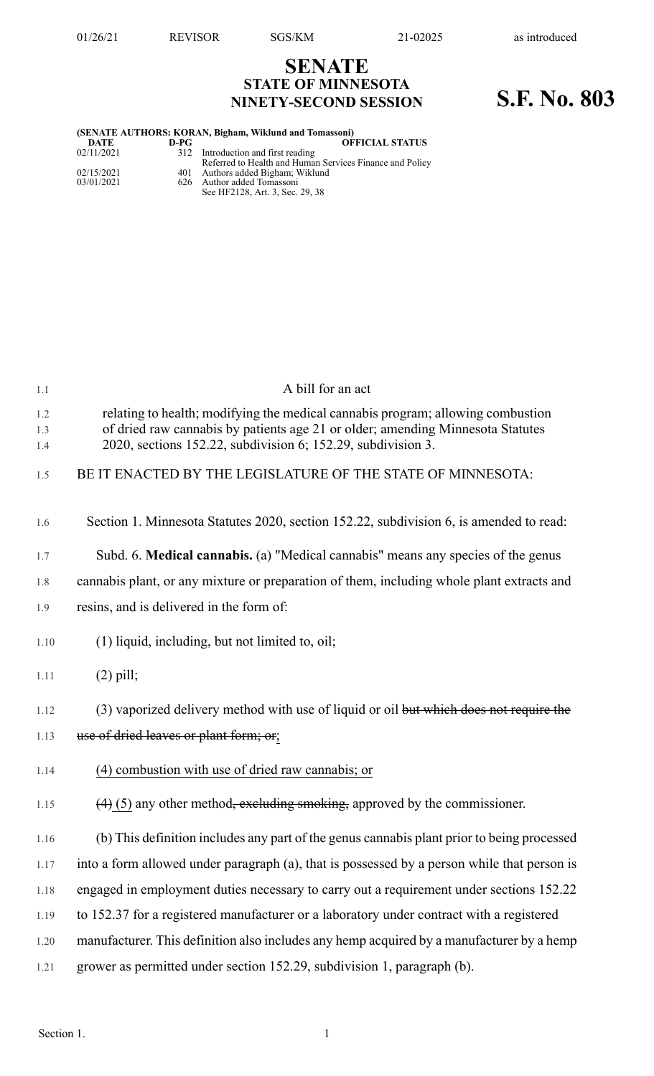## **SENATE STATE OF MINNESOTA NINETY-SECOND SESSION S.F. No. 803**

| (SENATE AUTHORS: KORAN, Bigham, Wiklund and Tomassoni) |      |                                                          |
|--------------------------------------------------------|------|----------------------------------------------------------|
| DATE                                                   | D-PG | <b>OFFICIAL STATUS</b>                                   |
| 02/11/2021                                             |      | 312 Introduction and first reading                       |
|                                                        |      | Referred to Health and Human Services Finance and Policy |
| 02/15/2021                                             |      | 401 Authors added Bigham; Wiklund                        |
| 03/01/2021                                             |      | 626 Author added Tomassoni                               |

See HF2128, Art. 3, Sec. 29, 38

| $1.1\,$           | A bill for an act                                                                                                                                                                                                                 |
|-------------------|-----------------------------------------------------------------------------------------------------------------------------------------------------------------------------------------------------------------------------------|
| 1.2<br>1.3<br>1.4 | relating to health; modifying the medical cannabis program; allowing combustion<br>of dried raw cannabis by patients age 21 or older; amending Minnesota Statutes<br>2020, sections 152.22, subdivision 6; 152.29, subdivision 3. |
| 1.5               | BE IT ENACTED BY THE LEGISLATURE OF THE STATE OF MINNESOTA:                                                                                                                                                                       |
| 1.6               | Section 1. Minnesota Statutes 2020, section 152.22, subdivision 6, is amended to read:                                                                                                                                            |
| 1.7               | Subd. 6. Medical cannabis. (a) "Medical cannabis" means any species of the genus                                                                                                                                                  |
| 1.8               | cannabis plant, or any mixture or preparation of them, including whole plant extracts and                                                                                                                                         |
| 1.9               | resins, and is delivered in the form of:                                                                                                                                                                                          |
| 1.10              | (1) liquid, including, but not limited to, oil;                                                                                                                                                                                   |
| 1.11              | $(2)$ pill;                                                                                                                                                                                                                       |
| 1.12              | (3) vaporized delivery method with use of liquid or oil but which does not require the                                                                                                                                            |
| 1.13              | use of dried leaves or plant form; or;                                                                                                                                                                                            |
| 1.14              | (4) combustion with use of dried raw cannabis; or                                                                                                                                                                                 |
| 1.15              | $(4)$ (5) any other method <del>, excluding smoking,</del> approved by the commissioner.                                                                                                                                          |
| 1.16              | (b) This definition includes any part of the genus cannabis plant prior to being processed                                                                                                                                        |
| 1.17              | into a form allowed under paragraph (a), that is possessed by a person while that person is                                                                                                                                       |
| 1.18              | engaged in employment duties necessary to carry out a requirement under sections 152.22                                                                                                                                           |
| 1.19              | to 152.37 for a registered manufacturer or a laboratory under contract with a registered                                                                                                                                          |
| 1.20              | manufacturer. This definition also includes any hemp acquired by a manufacturer by a hemp                                                                                                                                         |
| 1.21              | grower as permitted under section 152.29, subdivision 1, paragraph (b).                                                                                                                                                           |
|                   |                                                                                                                                                                                                                                   |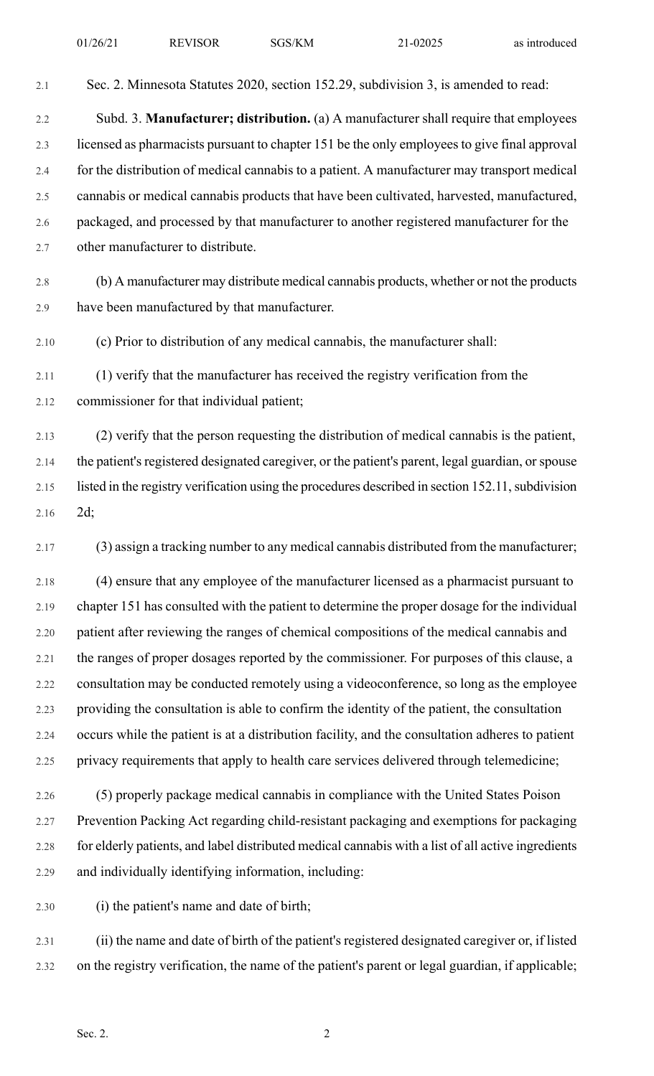2.1 Sec. 2. Minnesota Statutes 2020, section 152.29, subdivision 3, is amended to read: 2.2 Subd. 3. **Manufacturer; distribution.** (a) A manufacturer shall require that employees 2.3 licensed as pharmacists pursuant to chapter 151 be the only employeesto give final approval 2.4 for the distribution of medical cannabis to a patient. A manufacturer may transport medical 2.5 cannabis or medical cannabis products that have been cultivated, harvested, manufactured, 2.6 packaged, and processed by that manufacturer to another registered manufacturer for the 2.7 other manufacturer to distribute. 2.8 (b) A manufacturer may distribute medical cannabis products, whether or not the products 2.9 have been manufactured by that manufacturer. 2.10 (c) Prior to distribution of any medical cannabis, the manufacturer shall: 2.11 (1) verify that the manufacturer has received the registry verification from the 2.12 commissioner for that individual patient; 2.13 (2) verify that the person requesting the distribution of medical cannabis is the patient, 2.14 the patient's registered designated caregiver, or the patient's parent, legal guardian, or spouse 2.15 listed in the registry verification using the procedures described in section 152.11, subdivision 2.16 2d; 2.17 (3) assign a tracking number to any medical cannabis distributed from the manufacturer; 2.18 (4) ensure that any employee of the manufacturer licensed as a pharmacist pursuant to 2.19 chapter 151 has consulted with the patient to determine the proper dosage for the individual 2.20 patient after reviewing the ranges of chemical compositions of the medical cannabis and 2.21 the ranges of proper dosages reported by the commissioner. For purposes of this clause, a

2.22 consultation may be conducted remotely using a videoconference, so long as the employee 2.23 providing the consultation is able to confirm the identity of the patient, the consultation 2.24 occurs while the patient is at a distribution facility, and the consultation adheres to patient 2.25 privacy requirements that apply to health care services delivered through telemedicine;

2.26 (5) properly package medical cannabis in compliance with the United States Poison 2.27 Prevention Packing Act regarding child-resistant packaging and exemptions for packaging 2.28 for elderly patients, and label distributed medical cannabis with a list of all active ingredients 2.29 and individually identifying information, including:

2.30 (i) the patient's name and date of birth;

2.31 (ii) the name and date of birth of the patient's registered designated caregiver or, if listed 2.32 on the registry verification, the name of the patient's parent or legal guardian, if applicable;